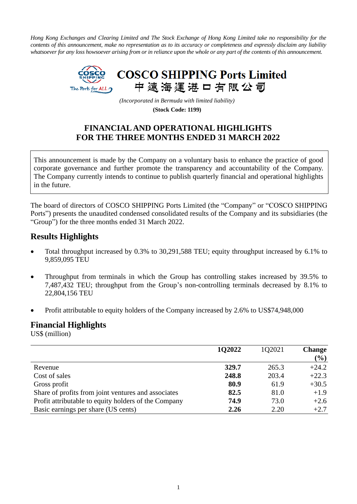*Hong Kong Exchanges and Clearing Limited and The Stock Exchange of Hong Kong Limited take no responsibility for the contents of this announcement, make no representation as to its accuracy or completeness and expressly disclaim any liability whatsoever for any loss howsoever arising from or in reliance upon the whole or any part of the contents of this announcement.*



*(Incorporated in Bermuda with limited liability)*

**(Stock Code: 1199)**

# **FINANCIAL AND OPERATIONAL HIGHLIGHTS FOR THE THREE MONTHS ENDED 31 MARCH 2022**

This announcement is made by the Company on a voluntary basis to enhance the practice of good corporate governance and further promote the transparency and accountability of the Company. The Company currently intends to continue to publish quarterly financial and operational highlights in the future.

The board of directors of COSCO SHIPPING Ports Limited (the "Company" or "COSCO SHIPPING Ports") presents the unaudited condensed consolidated results of the Company and its subsidiaries (the "Group") for the three months ended 31 March 2022.

## **Results Highlights**

- Total throughput increased by 0.3% to 30,291,588 TEU; equity throughput increased by 6.1% to 9,859,095 TEU
- Throughput from terminals in which the Group has controlling stakes increased by 39.5% to 7,487,432 TEU; throughput from the Group's non-controlling terminals decreased by 8.1% to 22,804,156 TEU
- Profit attributable to equity holders of the Company increased by 2.6% to US\$74,948,000

### **Financial Highlights**

US\$ (million)

|                                                      | 102022 | 1Q2021 | <b>Change</b> |
|------------------------------------------------------|--------|--------|---------------|
|                                                      |        |        | (%)           |
| Revenue                                              | 329.7  | 265.3  | $+24.2$       |
| Cost of sales                                        | 248.8  | 203.4  | $+22.3$       |
| Gross profit                                         | 80.9   | 61.9   | $+30.5$       |
| Share of profits from joint ventures and associates  | 82.5   | 81.0   | $+1.9$        |
| Profit attributable to equity holders of the Company | 74.9   | 73.0   | $+2.6$        |
| Basic earnings per share (US cents)                  | 2.26   | 2.20   | $+2.7$        |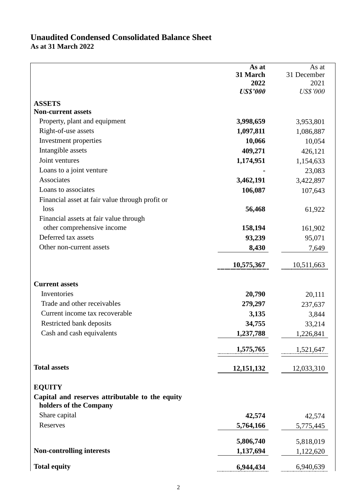# **Unaudited Condensed Consolidated Balance Sheet As at 31 March 2022**

|                                                                           | As at           | As at           |
|---------------------------------------------------------------------------|-----------------|-----------------|
|                                                                           | 31 March        | 31 December     |
|                                                                           | 2022            | 2021            |
|                                                                           | <b>US\$'000</b> | <b>US\$'000</b> |
| <b>ASSETS</b>                                                             |                 |                 |
| <b>Non-current assets</b>                                                 |                 |                 |
| Property, plant and equipment                                             | 3,998,659       | 3,953,801       |
| Right-of-use assets                                                       | 1,097,811       | 1,086,887       |
| Investment properties                                                     | 10,066          | 10,054          |
| Intangible assets                                                         | 409,271         | 426,121         |
| Joint ventures                                                            | 1,174,951       | 1,154,633       |
| Loans to a joint venture                                                  |                 | 23,083          |
| Associates                                                                | 3,462,191       | 3,422,897       |
| Loans to associates                                                       | 106,087         | 107,643         |
| Financial asset at fair value through profit or                           |                 |                 |
| loss                                                                      | 56,468          | 61,922          |
| Financial assets at fair value through                                    |                 |                 |
| other comprehensive income                                                | 158,194         | 161,902         |
| Deferred tax assets                                                       | 93,239          | 95,071          |
| Other non-current assets                                                  | 8,430           | 7,649           |
|                                                                           | 10,575,367      | 10,511,663      |
| <b>Current assets</b>                                                     |                 |                 |
| Inventories                                                               | 20,790          | 20,111          |
| Trade and other receivables                                               | 279,297         | 237,637         |
| Current income tax recoverable                                            | 3,135           | 3,844           |
| Restricted bank deposits                                                  | 34,755          | 33,214          |
| Cash and cash equivalents                                                 | 1,237,788       | 1,226,841       |
|                                                                           | 1,575,765       | 1,521,647       |
| <b>Total assets</b>                                                       | 12, 151, 132    | 12,033,310      |
| <b>EQUITY</b>                                                             |                 |                 |
| Capital and reserves attributable to the equity<br>holders of the Company |                 |                 |
| Share capital                                                             | 42,574          | 42,574          |
| Reserves                                                                  | 5,764,166       | 5,775,445       |
|                                                                           |                 |                 |
|                                                                           | 5,806,740       | 5,818,019       |
| <b>Non-controlling interests</b>                                          | 1,137,694       | 1,122,620       |
| <b>Total equity</b>                                                       | 6,944,434       | 6,940,639       |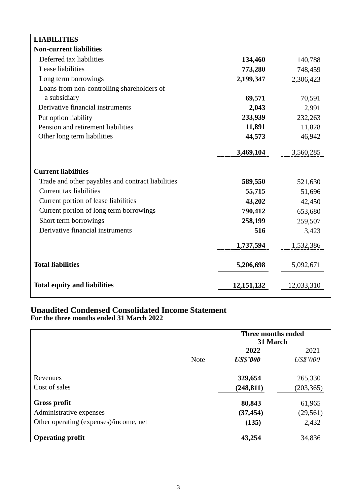| <b>LIABILITIES</b>                                |              |            |
|---------------------------------------------------|--------------|------------|
| <b>Non-current liabilities</b>                    |              |            |
| Deferred tax liabilities                          | 134,460      | 140,788    |
| Lease liabilities                                 | 773,280      | 748,459    |
| Long term borrowings                              | 2,199,347    | 2,306,423  |
| Loans from non-controlling shareholders of        |              |            |
| a subsidiary                                      | 69,571       | 70,591     |
| Derivative financial instruments                  | 2,043        | 2,991      |
| Put option liability                              | 233,939      | 232,263    |
| Pension and retirement liabilities                | 11,891       | 11,828     |
| Other long term liabilities                       | 44,573       | 46,942     |
|                                                   | 3,469,104    | 3,560,285  |
| <b>Current liabilities</b>                        |              |            |
| Trade and other payables and contract liabilities | 589,550      | 521,630    |
| Current tax liabilities                           | 55,715       | 51,696     |
| Current portion of lease liabilities              | 43,202       | 42,450     |
| Current portion of long term borrowings           | 790,412      | 653,680    |
| Short term borrowings                             | 258,199      | 259,507    |
| Derivative financial instruments                  | 516          | 3,423      |
|                                                   | 1,737,594    | 1,532,386  |
| <b>Total liabilities</b>                          | 5,206,698    | 5,092,671  |
| <b>Total equity and liabilities</b>               | 12, 151, 132 | 12,033,310 |

#### **Unaudited Condensed Consolidated Income Statement For the three months ended 31 March 2022**

|                                        |             | Three months ended<br>31 March |                 |  |
|----------------------------------------|-------------|--------------------------------|-----------------|--|
|                                        |             | 2022                           | 2021            |  |
|                                        | <b>Note</b> | <b>US\$'000</b>                | <b>US\$'000</b> |  |
| Revenues                               |             | 329,654                        | 265,330         |  |
| Cost of sales                          |             | (248, 811)                     | (203, 365)      |  |
| <b>Gross profit</b>                    |             | 80,843                         | 61,965          |  |
| Administrative expenses                |             | (37, 454)                      | (29, 561)       |  |
| Other operating (expenses)/income, net |             | (135)                          | 2,432           |  |
| <b>Operating profit</b>                |             | 43,254                         | 34,836          |  |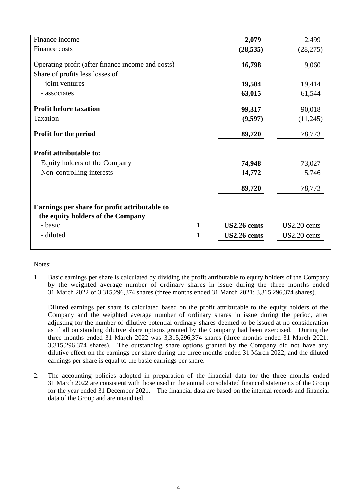| Finance income                                    |              | 2,079        | 2,499        |
|---------------------------------------------------|--------------|--------------|--------------|
| Finance costs                                     |              | (28, 535)    | (28, 275)    |
| Operating profit (after finance income and costs) |              | 16,798       | 9,060        |
| Share of profits less losses of                   |              |              |              |
| - joint ventures                                  |              | 19,504       | 19,414       |
| - associates                                      |              | 63,015       | 61,544       |
| <b>Profit before taxation</b>                     |              | 99,317       | 90,018       |
| Taxation                                          |              | (9,597)      | (11,245)     |
| <b>Profit for the period</b>                      |              | 89,720       | 78,773       |
| <b>Profit attributable to:</b>                    |              |              |              |
| Equity holders of the Company                     |              | 74,948       | 73,027       |
| Non-controlling interests                         |              | 14,772       | 5,746        |
|                                                   |              | 89,720       | 78,773       |
| Earnings per share for profit attributable to     |              |              |              |
| the equity holders of the Company                 |              |              |              |
| - basic                                           | 1            | US2.26 cents | US2.20 cents |
| - diluted                                         | $\mathbf{1}$ | US2.26 cents | US2.20 cents |

Notes:

1. Basic earnings per share is calculated by dividing the profit attributable to equity holders of the Company by the weighted average number of ordinary shares in issue during the three months ended 31 March 2022 of 3,315,296,374 shares (three months ended 31 March 2021: 3,315,296,374 shares).

Diluted earnings per share is calculated based on the profit attributable to the equity holders of the Company and the weighted average number of ordinary shares in issue during the period, after adjusting for the number of dilutive potential ordinary shares deemed to be issued at no consideration as if all outstanding dilutive share options granted by the Company had been exercised. During the three months ended 31 March 2022 was 3,315,296,374 shares (three months ended 31 March 2021: 3,315,296,374 shares). The outstanding share options granted by the Company did not have any dilutive effect on the earnings per share during the three months ended 31 March 2022, and the diluted earnings per share is equal to the basic earnings per share.

2. The accounting policies adopted in preparation of the financial data for the three months ended 31 March 2022 are consistent with those used in the annual consolidated financial statements of the Group for the year ended 31 December 2021. The financial data are based on the internal records and financial data of the Group and are unaudited.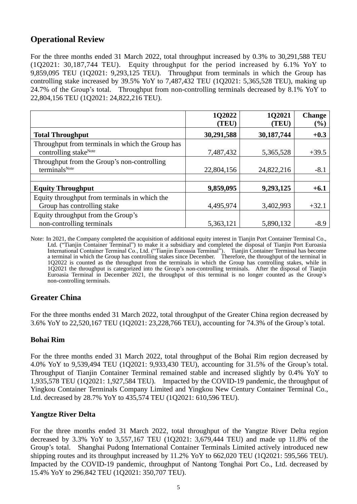# **Operational Review**

For the three months ended 31 March 2022, total throughput increased by 0.3% to 30,291,588 TEU (1Q2021: 30,187,744 TEU). Equity throughput for the period increased by 6.1% YoY to 9,859,095 TEU (1Q2021: 9,293,125 TEU). Throughput from terminals in which the Group has controlling stake increased by 39.5% YoY to 7,487,432 TEU (1Q2021: 5,365,528 TEU), making up 24.7% of the Group's total. Throughput from non-controlling terminals decreased by 8.1% YoY to 22,804,156 TEU (1Q2021: 24,822,216 TEU).

|                                                                                       | 1Q2022<br>(TEU) | 1Q2021<br>(TEU) | <b>Change</b><br>$(\%)$ |
|---------------------------------------------------------------------------------------|-----------------|-----------------|-------------------------|
| <b>Total Throughput</b>                                                               | 30,291,588      | 30,187,744      | $+0.3$                  |
| Throughput from terminals in which the Group has<br>controlling stake <sup>Note</sup> | 7,487,432       | 5,365,528       | $+39.5$                 |
| Throughput from the Group's non-controlling<br>terminals <sup>Note</sup>              | 22,804,156      | 24,822,216      | $-8.1$                  |
| <b>Equity Throughput</b>                                                              | 9,859,095       | 9,293,125       | $+6.1$                  |
| Equity throughput from terminals in which the<br>Group has controlling stake          | 4,495,974       | 3,402,993       | $+32.1$                 |
| Equity throughput from the Group's<br>non-controlling terminals                       | 5,363,121       | 5,890,132       | $-8.9$                  |

Note: In 2021, the Company completed the acquisition of additional equity interest in Tianjin Port Container Terminal Co., Ltd. ("Tianjin Container Terminal") to make it a subsidiary and completed the disposal of Tianjin Port Euroasia International Container Terminal Co., Ltd. ("Tianjin Euroasia Terminal"). Tianjin Container Terminal has become a terminal in which the Group has controlling stakes since December. Therefore, the throughput of the terminal in 1Q2022 is counted as the throughput from the terminals in which the Group has controlling stakes, while in 1Q2021 the throughput is categorized into the Group's non-controlling terminals. After the disposal of Tianjin Euroasia Terminal in December 2021, the throughput of this terminal is no longer counted as the Group's non-controlling terminals.

### **Greater China**

For the three months ended 31 March 2022, total throughput of the Greater China region decreased by 3.6% YoY to 22,520,167 TEU (1Q2021: 23,228,766 TEU), accounting for 74.3% of the Group's total.

#### **Bohai Rim**

For the three months ended 31 March 2022, total throughput of the Bohai Rim region decreased by 4.0% YoY to 9,539,494 TEU (1Q2021: 9,933,430 TEU), accounting for 31.5% of the Group's total. Throughput of Tianjin Container Terminal remained stable and increased slightly by 0.4% YoY to 1,935,578 TEU (1Q2021: 1,927,584 TEU). Impacted by the COVID-19 pandemic, the throughput of Yingkou Container Terminals Company Limited and Yingkou New Century Container Terminal Co., Ltd. decreased by 28.7% YoY to 435,574 TEU (1Q2021: 610,596 TEU).

#### **Yangtze River Delta**

For the three months ended 31 March 2022, total throughput of the Yangtze River Delta region decreased by 3.3% YoY to 3,557,167 TEU (1Q2021: 3,679,444 TEU) and made up 11.8% of the Group's total. Shanghai Pudong International Container Terminals Limited actively introduced new shipping routes and its throughput increased by 11.2% YoY to 662,020 TEU (1Q2021: 595,566 TEU). Impacted by the COVID-19 pandemic, throughput of Nantong Tonghai Port Co., Ltd. decreased by 15.4% YoY to 296,842 TEU (1Q2021: 350,707 TEU).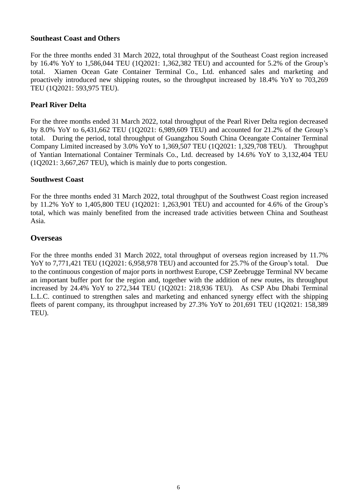#### **Southeast Coast and Others**

For the three months ended 31 March 2022, total throughput of the Southeast Coast region increased by 16.4% YoY to 1,586,044 TEU (1Q2021: 1,362,382 TEU) and accounted for 5.2% of the Group's total. Xiamen Ocean Gate Container Terminal Co., Ltd. enhanced sales and marketing and proactively introduced new shipping routes, so the throughput increased by 18.4% YoY to 703,269 TEU (1Q2021: 593,975 TEU).

#### **Pearl River Delta**

For the three months ended 31 March 2022, total throughput of the Pearl River Delta region decreased by 8.0% YoY to 6,431,662 TEU (1Q2021: 6,989,609 TEU) and accounted for 21.2% of the Group's total. During the period, total throughput of Guangzhou South China Oceangate Container Terminal Company Limited increased by 3.0% YoY to 1,369,507 TEU (1Q2021: 1,329,708 TEU). Throughput of Yantian International Container Terminals Co., Ltd. decreased by 14.6% YoY to 3,132,404 TEU (1Q2021: 3,667,267 TEU), which is mainly due to ports congestion.

#### **Southwest Coast**

For the three months ended 31 March 2022, total throughput of the Southwest Coast region increased by 11.2% YoY to 1,405,800 TEU (1Q2021: 1,263,901 TEU) and accounted for 4.6% of the Group's total, which was mainly benefited from the increased trade activities between China and Southeast Asia.

#### **Overseas**

For the three months ended 31 March 2022, total throughput of overseas region increased by 11.7% YoY to 7,771,421 TEU (1Q2021: 6,958,978 TEU) and accounted for 25.7% of the Group's total. Due to the continuous congestion of major ports in northwest Europe, CSP Zeebrugge Terminal NV became an important buffer port for the region and, together with the addition of new routes, its throughput increased by 24.4% YoY to 272,344 TEU (1Q2021: 218,936 TEU). As CSP Abu Dhabi Terminal L.L.C. continued to strengthen sales and marketing and enhanced synergy effect with the shipping fleets of parent company, its throughput increased by 27.3% YoY to 201,691 TEU (1Q2021: 158,389 TEU).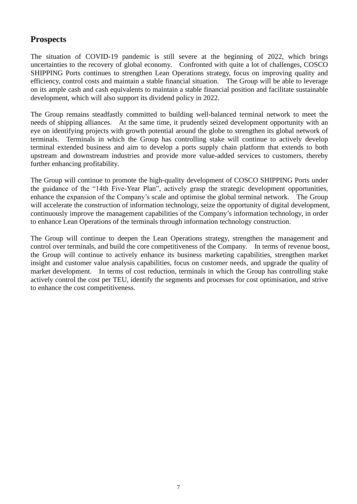# **Prospects**

The situation of COVID-19 pandemic is still severe at the beginning of 2022, which brings uncertainties to the recovery of global economy. Confronted with quite a lot of challenges, COSCO SHIPPING Ports continues to strengthen Lean Operations strategy, focus on improving quality and efficiency, control costs and maintain a stable financial situation. The Group will be able to leverage on its ample cash and cash equivalents to maintain a stable financial position and facilitate sustainable development, which will also support its dividend policy in 2022.

The Group remains steadfastly committed to building well-balanced terminal network to meet the needs of shipping alliances. At the same time, it prudently seized development opportunity with an eye on identifying projects with growth potential around the globe to strengthen its global network of terminals. Terminals in which the Group has controlling stake will continue to actively develop terminal extended business and aim to develop a ports supply chain platform that extends to both upstream and downstream industries and provide more value-added services to customers, thereby further enhancing profitability.

The Group will continue to promote the high-quality development of COSCO SHIPPING Ports under the guidance of the "14th Five-Year Plan", actively grasp the strategic development opportunities, enhance the expansion of the Company's scale and optimise the global terminal network. The Group will accelerate the construction of information technology, seize the opportunity of digital development, continuously improve the management capabilities of the Company's information technology, in order to enhance Lean Operations of the terminals through information technology construction.

The Group will continue to deepen the Lean Operations strategy, strengthen the management and control over terminals, and build the core competitiveness of the Company. In terms of revenue boost, the Group will continue to actively enhance its business marketing capabilities, strengthen market insight and customer value analysis capabilities, focus on customer needs, and upgrade the quality of market development. In terms of cost reduction, terminals in which the Group has controlling stake actively control the cost per TEU, identify the segments and processes for cost optimisation, and strive to enhance the cost competitiveness.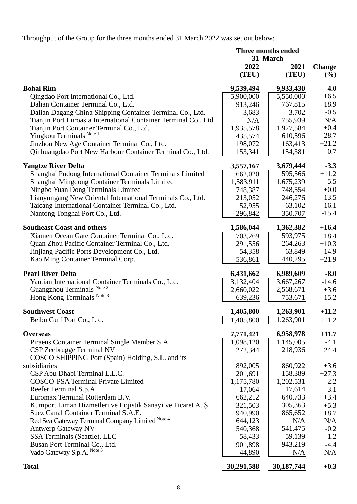Throughput of the Group for the three months ended 31 March 2022 was set out below:

| 31 March<br>2022<br>2021<br><b>Change</b><br>(TEU)<br>(TEU)<br>(%)<br><b>Bohai Rim</b><br>9,539,494<br>9,933,430<br>$-4.0$<br>5,550,000<br>5,900,000<br>$+6.5$<br>Qingdao Port International Co., Ltd.<br>$+18.9$<br>Dalian Container Terminal Co., Ltd.<br>767,815<br>913,246<br>Dalian Dagang China Shipping Container Terminal Co., Ltd.<br>3,702<br>$-0.5$<br>3,683<br>N/A<br>Tianjin Port Euroasia International Container Terminal Co., Ltd.<br>755,939<br>N/A<br>Tianjin Port Container Terminal Co., Ltd.<br>$+0.4$<br>1,935,578<br>1,927,584<br>Yingkou Terminals Note 1<br>$-28.7$<br>610,596<br>435,574<br>$+21.2$<br>Jinzhou New Age Container Terminal Co., Ltd.<br>198,072<br>163,413<br>$-0.7$<br>Qinhuangdao Port New Harbour Container Terminal Co., Ltd.<br>154,381<br>153,341<br>$-3.3$<br><b>Yangtze River Delta</b><br>3,557,167<br>3,679,444<br>595,566<br>$+11.2$<br>Shanghai Pudong International Container Terminals Limited<br>662,020<br>Shanghai Mingdong Container Terminals Limited<br>1,675,239<br>$-5.5$<br>1,583,911<br>Ningbo Yuan Dong Terminals Limited<br>$+0.0$<br>748,554<br>748,387<br>$-13.5$<br>Lianyungang New Oriental International Terminals Co., Ltd.<br>246,276<br>213,052<br>63,102<br>$-16.1$<br>Taicang International Container Terminal Co., Ltd.<br>52,955<br>Nantong Tonghai Port Co., Ltd.<br>350,707<br>$-15.4$<br>296,842<br><b>Southeast Coast and others</b><br>1,586,044<br>1,362,382<br>$+16.4$<br>593,975<br>Xiamen Ocean Gate Container Terminal Co., Ltd.<br>703,269<br>$+18.4$<br>Quan Zhou Pacific Container Terminal Co., Ltd.<br>264,263<br>$+10.3$<br>291,556<br>Jinjiang Pacific Ports Development Co., Ltd.<br>63,849<br>54,358<br>$-14.9$<br>Kao Ming Container Terminal Corp.<br>440,295<br>$+21.9$<br>536,861<br><b>Pearl River Delta</b><br>6,989,609<br>$-8.0$<br>6,431,662<br>3,132,404<br>$-14.6$<br>Yantian International Container Terminals Co., Ltd.<br>3,667,267<br>Guangzhou Terminals Note 2<br>2,660,022<br>2,568,671<br>$+3.6$<br>Hong Kong Terminals Note 3<br>753,671<br>$-15.2$<br>639,236<br><b>Southwest Coast</b><br>1,263,901<br>$+11.2$<br>1,405,800<br>Beibu Gulf Port Co., Ltd.<br>1,263,901<br>$+11.2$<br>1,405,800<br>6,958,978<br>$+11.7$<br><b>Overseas</b><br>7,771,421<br>1,145,005<br>Piraeus Container Terminal Single Member S.A.<br>1,098,120<br>$-4.1$<br>CSP Zeebrugge Terminal NV<br>218,936<br>272,344<br>$+24.4$<br>COSCO SHIPPING Port (Spain) Holding, S.L. and its<br>subsidiaries<br>860,922<br>892,005<br>$+3.6$<br>CSP Abu Dhabi Terminal L.L.C.<br>158,389<br>201,691<br>$+27.3$<br><b>COSCO-PSA Terminal Private Limited</b><br>1,202,531<br>1,175,780<br>$-2.2$<br>Reefer Terminal S.p.A.<br>17,064<br>17,614<br>$-3.1$<br>Euromax Terminal Rotterdam B.V.<br>662,212<br>640,733<br>$+3.4$<br>Kumport Liman Hizmetleri ve Lojistik Sanayi ve Ticaret A. Ş.<br>321,503<br>305,363<br>$+5.3$<br>Suez Canal Container Terminal S.A.E.<br>940,990<br>$+8.7$<br>865,652<br>Red Sea Gateway Terminal Company Limited Note 4<br>644,123<br>N/A<br>N/A<br><b>Antwerp Gateway NV</b><br>540,368<br>541,475<br>$-0.2$<br>SSA Terminals (Seattle), LLC<br>59,139<br>$-1.2$<br>58,433<br>Busan Port Terminal Co., Ltd.<br>901,898<br>943,219<br>$-4.4$<br>Vado Gateway S.p.A. Note 5<br>N/A<br>44,890<br>N/A<br>30,291,588<br>30, 187, 744<br><b>Total</b><br>$+0.3$ | Three months ended |  |  |  |
|-----------------------------------------------------------------------------------------------------------------------------------------------------------------------------------------------------------------------------------------------------------------------------------------------------------------------------------------------------------------------------------------------------------------------------------------------------------------------------------------------------------------------------------------------------------------------------------------------------------------------------------------------------------------------------------------------------------------------------------------------------------------------------------------------------------------------------------------------------------------------------------------------------------------------------------------------------------------------------------------------------------------------------------------------------------------------------------------------------------------------------------------------------------------------------------------------------------------------------------------------------------------------------------------------------------------------------------------------------------------------------------------------------------------------------------------------------------------------------------------------------------------------------------------------------------------------------------------------------------------------------------------------------------------------------------------------------------------------------------------------------------------------------------------------------------------------------------------------------------------------------------------------------------------------------------------------------------------------------------------------------------------------------------------------------------------------------------------------------------------------------------------------------------------------------------------------------------------------------------------------------------------------------------------------------------------------------------------------------------------------------------------------------------------------------------------------------------------------------------------------------------------------------------------------------------------------------------------------------------------------------------------------------------------------------------------------------------------------------------------------------------------------------------------------------------------------------------------------------------------------------------------------------------------------------------------------------------------------------------------------------------------------------------------------------------------------------------------------------------------------------------------------------------------------------------------------------------------------------------------------------------------------------------------------------------------------------------------------------------------------------------|--------------------|--|--|--|
|                                                                                                                                                                                                                                                                                                                                                                                                                                                                                                                                                                                                                                                                                                                                                                                                                                                                                                                                                                                                                                                                                                                                                                                                                                                                                                                                                                                                                                                                                                                                                                                                                                                                                                                                                                                                                                                                                                                                                                                                                                                                                                                                                                                                                                                                                                                                                                                                                                                                                                                                                                                                                                                                                                                                                                                                                                                                                                                                                                                                                                                                                                                                                                                                                                                                                                                                                                                   |                    |  |  |  |
|                                                                                                                                                                                                                                                                                                                                                                                                                                                                                                                                                                                                                                                                                                                                                                                                                                                                                                                                                                                                                                                                                                                                                                                                                                                                                                                                                                                                                                                                                                                                                                                                                                                                                                                                                                                                                                                                                                                                                                                                                                                                                                                                                                                                                                                                                                                                                                                                                                                                                                                                                                                                                                                                                                                                                                                                                                                                                                                                                                                                                                                                                                                                                                                                                                                                                                                                                                                   |                    |  |  |  |
|                                                                                                                                                                                                                                                                                                                                                                                                                                                                                                                                                                                                                                                                                                                                                                                                                                                                                                                                                                                                                                                                                                                                                                                                                                                                                                                                                                                                                                                                                                                                                                                                                                                                                                                                                                                                                                                                                                                                                                                                                                                                                                                                                                                                                                                                                                                                                                                                                                                                                                                                                                                                                                                                                                                                                                                                                                                                                                                                                                                                                                                                                                                                                                                                                                                                                                                                                                                   |                    |  |  |  |
|                                                                                                                                                                                                                                                                                                                                                                                                                                                                                                                                                                                                                                                                                                                                                                                                                                                                                                                                                                                                                                                                                                                                                                                                                                                                                                                                                                                                                                                                                                                                                                                                                                                                                                                                                                                                                                                                                                                                                                                                                                                                                                                                                                                                                                                                                                                                                                                                                                                                                                                                                                                                                                                                                                                                                                                                                                                                                                                                                                                                                                                                                                                                                                                                                                                                                                                                                                                   |                    |  |  |  |
|                                                                                                                                                                                                                                                                                                                                                                                                                                                                                                                                                                                                                                                                                                                                                                                                                                                                                                                                                                                                                                                                                                                                                                                                                                                                                                                                                                                                                                                                                                                                                                                                                                                                                                                                                                                                                                                                                                                                                                                                                                                                                                                                                                                                                                                                                                                                                                                                                                                                                                                                                                                                                                                                                                                                                                                                                                                                                                                                                                                                                                                                                                                                                                                                                                                                                                                                                                                   |                    |  |  |  |
|                                                                                                                                                                                                                                                                                                                                                                                                                                                                                                                                                                                                                                                                                                                                                                                                                                                                                                                                                                                                                                                                                                                                                                                                                                                                                                                                                                                                                                                                                                                                                                                                                                                                                                                                                                                                                                                                                                                                                                                                                                                                                                                                                                                                                                                                                                                                                                                                                                                                                                                                                                                                                                                                                                                                                                                                                                                                                                                                                                                                                                                                                                                                                                                                                                                                                                                                                                                   |                    |  |  |  |
|                                                                                                                                                                                                                                                                                                                                                                                                                                                                                                                                                                                                                                                                                                                                                                                                                                                                                                                                                                                                                                                                                                                                                                                                                                                                                                                                                                                                                                                                                                                                                                                                                                                                                                                                                                                                                                                                                                                                                                                                                                                                                                                                                                                                                                                                                                                                                                                                                                                                                                                                                                                                                                                                                                                                                                                                                                                                                                                                                                                                                                                                                                                                                                                                                                                                                                                                                                                   |                    |  |  |  |
|                                                                                                                                                                                                                                                                                                                                                                                                                                                                                                                                                                                                                                                                                                                                                                                                                                                                                                                                                                                                                                                                                                                                                                                                                                                                                                                                                                                                                                                                                                                                                                                                                                                                                                                                                                                                                                                                                                                                                                                                                                                                                                                                                                                                                                                                                                                                                                                                                                                                                                                                                                                                                                                                                                                                                                                                                                                                                                                                                                                                                                                                                                                                                                                                                                                                                                                                                                                   |                    |  |  |  |
|                                                                                                                                                                                                                                                                                                                                                                                                                                                                                                                                                                                                                                                                                                                                                                                                                                                                                                                                                                                                                                                                                                                                                                                                                                                                                                                                                                                                                                                                                                                                                                                                                                                                                                                                                                                                                                                                                                                                                                                                                                                                                                                                                                                                                                                                                                                                                                                                                                                                                                                                                                                                                                                                                                                                                                                                                                                                                                                                                                                                                                                                                                                                                                                                                                                                                                                                                                                   |                    |  |  |  |
|                                                                                                                                                                                                                                                                                                                                                                                                                                                                                                                                                                                                                                                                                                                                                                                                                                                                                                                                                                                                                                                                                                                                                                                                                                                                                                                                                                                                                                                                                                                                                                                                                                                                                                                                                                                                                                                                                                                                                                                                                                                                                                                                                                                                                                                                                                                                                                                                                                                                                                                                                                                                                                                                                                                                                                                                                                                                                                                                                                                                                                                                                                                                                                                                                                                                                                                                                                                   |                    |  |  |  |
|                                                                                                                                                                                                                                                                                                                                                                                                                                                                                                                                                                                                                                                                                                                                                                                                                                                                                                                                                                                                                                                                                                                                                                                                                                                                                                                                                                                                                                                                                                                                                                                                                                                                                                                                                                                                                                                                                                                                                                                                                                                                                                                                                                                                                                                                                                                                                                                                                                                                                                                                                                                                                                                                                                                                                                                                                                                                                                                                                                                                                                                                                                                                                                                                                                                                                                                                                                                   |                    |  |  |  |
|                                                                                                                                                                                                                                                                                                                                                                                                                                                                                                                                                                                                                                                                                                                                                                                                                                                                                                                                                                                                                                                                                                                                                                                                                                                                                                                                                                                                                                                                                                                                                                                                                                                                                                                                                                                                                                                                                                                                                                                                                                                                                                                                                                                                                                                                                                                                                                                                                                                                                                                                                                                                                                                                                                                                                                                                                                                                                                                                                                                                                                                                                                                                                                                                                                                                                                                                                                                   |                    |  |  |  |
|                                                                                                                                                                                                                                                                                                                                                                                                                                                                                                                                                                                                                                                                                                                                                                                                                                                                                                                                                                                                                                                                                                                                                                                                                                                                                                                                                                                                                                                                                                                                                                                                                                                                                                                                                                                                                                                                                                                                                                                                                                                                                                                                                                                                                                                                                                                                                                                                                                                                                                                                                                                                                                                                                                                                                                                                                                                                                                                                                                                                                                                                                                                                                                                                                                                                                                                                                                                   |                    |  |  |  |
|                                                                                                                                                                                                                                                                                                                                                                                                                                                                                                                                                                                                                                                                                                                                                                                                                                                                                                                                                                                                                                                                                                                                                                                                                                                                                                                                                                                                                                                                                                                                                                                                                                                                                                                                                                                                                                                                                                                                                                                                                                                                                                                                                                                                                                                                                                                                                                                                                                                                                                                                                                                                                                                                                                                                                                                                                                                                                                                                                                                                                                                                                                                                                                                                                                                                                                                                                                                   |                    |  |  |  |
|                                                                                                                                                                                                                                                                                                                                                                                                                                                                                                                                                                                                                                                                                                                                                                                                                                                                                                                                                                                                                                                                                                                                                                                                                                                                                                                                                                                                                                                                                                                                                                                                                                                                                                                                                                                                                                                                                                                                                                                                                                                                                                                                                                                                                                                                                                                                                                                                                                                                                                                                                                                                                                                                                                                                                                                                                                                                                                                                                                                                                                                                                                                                                                                                                                                                                                                                                                                   |                    |  |  |  |
|                                                                                                                                                                                                                                                                                                                                                                                                                                                                                                                                                                                                                                                                                                                                                                                                                                                                                                                                                                                                                                                                                                                                                                                                                                                                                                                                                                                                                                                                                                                                                                                                                                                                                                                                                                                                                                                                                                                                                                                                                                                                                                                                                                                                                                                                                                                                                                                                                                                                                                                                                                                                                                                                                                                                                                                                                                                                                                                                                                                                                                                                                                                                                                                                                                                                                                                                                                                   |                    |  |  |  |
|                                                                                                                                                                                                                                                                                                                                                                                                                                                                                                                                                                                                                                                                                                                                                                                                                                                                                                                                                                                                                                                                                                                                                                                                                                                                                                                                                                                                                                                                                                                                                                                                                                                                                                                                                                                                                                                                                                                                                                                                                                                                                                                                                                                                                                                                                                                                                                                                                                                                                                                                                                                                                                                                                                                                                                                                                                                                                                                                                                                                                                                                                                                                                                                                                                                                                                                                                                                   |                    |  |  |  |
|                                                                                                                                                                                                                                                                                                                                                                                                                                                                                                                                                                                                                                                                                                                                                                                                                                                                                                                                                                                                                                                                                                                                                                                                                                                                                                                                                                                                                                                                                                                                                                                                                                                                                                                                                                                                                                                                                                                                                                                                                                                                                                                                                                                                                                                                                                                                                                                                                                                                                                                                                                                                                                                                                                                                                                                                                                                                                                                                                                                                                                                                                                                                                                                                                                                                                                                                                                                   |                    |  |  |  |
|                                                                                                                                                                                                                                                                                                                                                                                                                                                                                                                                                                                                                                                                                                                                                                                                                                                                                                                                                                                                                                                                                                                                                                                                                                                                                                                                                                                                                                                                                                                                                                                                                                                                                                                                                                                                                                                                                                                                                                                                                                                                                                                                                                                                                                                                                                                                                                                                                                                                                                                                                                                                                                                                                                                                                                                                                                                                                                                                                                                                                                                                                                                                                                                                                                                                                                                                                                                   |                    |  |  |  |
|                                                                                                                                                                                                                                                                                                                                                                                                                                                                                                                                                                                                                                                                                                                                                                                                                                                                                                                                                                                                                                                                                                                                                                                                                                                                                                                                                                                                                                                                                                                                                                                                                                                                                                                                                                                                                                                                                                                                                                                                                                                                                                                                                                                                                                                                                                                                                                                                                                                                                                                                                                                                                                                                                                                                                                                                                                                                                                                                                                                                                                                                                                                                                                                                                                                                                                                                                                                   |                    |  |  |  |
|                                                                                                                                                                                                                                                                                                                                                                                                                                                                                                                                                                                                                                                                                                                                                                                                                                                                                                                                                                                                                                                                                                                                                                                                                                                                                                                                                                                                                                                                                                                                                                                                                                                                                                                                                                                                                                                                                                                                                                                                                                                                                                                                                                                                                                                                                                                                                                                                                                                                                                                                                                                                                                                                                                                                                                                                                                                                                                                                                                                                                                                                                                                                                                                                                                                                                                                                                                                   |                    |  |  |  |
|                                                                                                                                                                                                                                                                                                                                                                                                                                                                                                                                                                                                                                                                                                                                                                                                                                                                                                                                                                                                                                                                                                                                                                                                                                                                                                                                                                                                                                                                                                                                                                                                                                                                                                                                                                                                                                                                                                                                                                                                                                                                                                                                                                                                                                                                                                                                                                                                                                                                                                                                                                                                                                                                                                                                                                                                                                                                                                                                                                                                                                                                                                                                                                                                                                                                                                                                                                                   |                    |  |  |  |
|                                                                                                                                                                                                                                                                                                                                                                                                                                                                                                                                                                                                                                                                                                                                                                                                                                                                                                                                                                                                                                                                                                                                                                                                                                                                                                                                                                                                                                                                                                                                                                                                                                                                                                                                                                                                                                                                                                                                                                                                                                                                                                                                                                                                                                                                                                                                                                                                                                                                                                                                                                                                                                                                                                                                                                                                                                                                                                                                                                                                                                                                                                                                                                                                                                                                                                                                                                                   |                    |  |  |  |
|                                                                                                                                                                                                                                                                                                                                                                                                                                                                                                                                                                                                                                                                                                                                                                                                                                                                                                                                                                                                                                                                                                                                                                                                                                                                                                                                                                                                                                                                                                                                                                                                                                                                                                                                                                                                                                                                                                                                                                                                                                                                                                                                                                                                                                                                                                                                                                                                                                                                                                                                                                                                                                                                                                                                                                                                                                                                                                                                                                                                                                                                                                                                                                                                                                                                                                                                                                                   |                    |  |  |  |
|                                                                                                                                                                                                                                                                                                                                                                                                                                                                                                                                                                                                                                                                                                                                                                                                                                                                                                                                                                                                                                                                                                                                                                                                                                                                                                                                                                                                                                                                                                                                                                                                                                                                                                                                                                                                                                                                                                                                                                                                                                                                                                                                                                                                                                                                                                                                                                                                                                                                                                                                                                                                                                                                                                                                                                                                                                                                                                                                                                                                                                                                                                                                                                                                                                                                                                                                                                                   |                    |  |  |  |
|                                                                                                                                                                                                                                                                                                                                                                                                                                                                                                                                                                                                                                                                                                                                                                                                                                                                                                                                                                                                                                                                                                                                                                                                                                                                                                                                                                                                                                                                                                                                                                                                                                                                                                                                                                                                                                                                                                                                                                                                                                                                                                                                                                                                                                                                                                                                                                                                                                                                                                                                                                                                                                                                                                                                                                                                                                                                                                                                                                                                                                                                                                                                                                                                                                                                                                                                                                                   |                    |  |  |  |
|                                                                                                                                                                                                                                                                                                                                                                                                                                                                                                                                                                                                                                                                                                                                                                                                                                                                                                                                                                                                                                                                                                                                                                                                                                                                                                                                                                                                                                                                                                                                                                                                                                                                                                                                                                                                                                                                                                                                                                                                                                                                                                                                                                                                                                                                                                                                                                                                                                                                                                                                                                                                                                                                                                                                                                                                                                                                                                                                                                                                                                                                                                                                                                                                                                                                                                                                                                                   |                    |  |  |  |
|                                                                                                                                                                                                                                                                                                                                                                                                                                                                                                                                                                                                                                                                                                                                                                                                                                                                                                                                                                                                                                                                                                                                                                                                                                                                                                                                                                                                                                                                                                                                                                                                                                                                                                                                                                                                                                                                                                                                                                                                                                                                                                                                                                                                                                                                                                                                                                                                                                                                                                                                                                                                                                                                                                                                                                                                                                                                                                                                                                                                                                                                                                                                                                                                                                                                                                                                                                                   |                    |  |  |  |
|                                                                                                                                                                                                                                                                                                                                                                                                                                                                                                                                                                                                                                                                                                                                                                                                                                                                                                                                                                                                                                                                                                                                                                                                                                                                                                                                                                                                                                                                                                                                                                                                                                                                                                                                                                                                                                                                                                                                                                                                                                                                                                                                                                                                                                                                                                                                                                                                                                                                                                                                                                                                                                                                                                                                                                                                                                                                                                                                                                                                                                                                                                                                                                                                                                                                                                                                                                                   |                    |  |  |  |
|                                                                                                                                                                                                                                                                                                                                                                                                                                                                                                                                                                                                                                                                                                                                                                                                                                                                                                                                                                                                                                                                                                                                                                                                                                                                                                                                                                                                                                                                                                                                                                                                                                                                                                                                                                                                                                                                                                                                                                                                                                                                                                                                                                                                                                                                                                                                                                                                                                                                                                                                                                                                                                                                                                                                                                                                                                                                                                                                                                                                                                                                                                                                                                                                                                                                                                                                                                                   |                    |  |  |  |
|                                                                                                                                                                                                                                                                                                                                                                                                                                                                                                                                                                                                                                                                                                                                                                                                                                                                                                                                                                                                                                                                                                                                                                                                                                                                                                                                                                                                                                                                                                                                                                                                                                                                                                                                                                                                                                                                                                                                                                                                                                                                                                                                                                                                                                                                                                                                                                                                                                                                                                                                                                                                                                                                                                                                                                                                                                                                                                                                                                                                                                                                                                                                                                                                                                                                                                                                                                                   |                    |  |  |  |
|                                                                                                                                                                                                                                                                                                                                                                                                                                                                                                                                                                                                                                                                                                                                                                                                                                                                                                                                                                                                                                                                                                                                                                                                                                                                                                                                                                                                                                                                                                                                                                                                                                                                                                                                                                                                                                                                                                                                                                                                                                                                                                                                                                                                                                                                                                                                                                                                                                                                                                                                                                                                                                                                                                                                                                                                                                                                                                                                                                                                                                                                                                                                                                                                                                                                                                                                                                                   |                    |  |  |  |
|                                                                                                                                                                                                                                                                                                                                                                                                                                                                                                                                                                                                                                                                                                                                                                                                                                                                                                                                                                                                                                                                                                                                                                                                                                                                                                                                                                                                                                                                                                                                                                                                                                                                                                                                                                                                                                                                                                                                                                                                                                                                                                                                                                                                                                                                                                                                                                                                                                                                                                                                                                                                                                                                                                                                                                                                                                                                                                                                                                                                                                                                                                                                                                                                                                                                                                                                                                                   |                    |  |  |  |
|                                                                                                                                                                                                                                                                                                                                                                                                                                                                                                                                                                                                                                                                                                                                                                                                                                                                                                                                                                                                                                                                                                                                                                                                                                                                                                                                                                                                                                                                                                                                                                                                                                                                                                                                                                                                                                                                                                                                                                                                                                                                                                                                                                                                                                                                                                                                                                                                                                                                                                                                                                                                                                                                                                                                                                                                                                                                                                                                                                                                                                                                                                                                                                                                                                                                                                                                                                                   |                    |  |  |  |
|                                                                                                                                                                                                                                                                                                                                                                                                                                                                                                                                                                                                                                                                                                                                                                                                                                                                                                                                                                                                                                                                                                                                                                                                                                                                                                                                                                                                                                                                                                                                                                                                                                                                                                                                                                                                                                                                                                                                                                                                                                                                                                                                                                                                                                                                                                                                                                                                                                                                                                                                                                                                                                                                                                                                                                                                                                                                                                                                                                                                                                                                                                                                                                                                                                                                                                                                                                                   |                    |  |  |  |
|                                                                                                                                                                                                                                                                                                                                                                                                                                                                                                                                                                                                                                                                                                                                                                                                                                                                                                                                                                                                                                                                                                                                                                                                                                                                                                                                                                                                                                                                                                                                                                                                                                                                                                                                                                                                                                                                                                                                                                                                                                                                                                                                                                                                                                                                                                                                                                                                                                                                                                                                                                                                                                                                                                                                                                                                                                                                                                                                                                                                                                                                                                                                                                                                                                                                                                                                                                                   |                    |  |  |  |
|                                                                                                                                                                                                                                                                                                                                                                                                                                                                                                                                                                                                                                                                                                                                                                                                                                                                                                                                                                                                                                                                                                                                                                                                                                                                                                                                                                                                                                                                                                                                                                                                                                                                                                                                                                                                                                                                                                                                                                                                                                                                                                                                                                                                                                                                                                                                                                                                                                                                                                                                                                                                                                                                                                                                                                                                                                                                                                                                                                                                                                                                                                                                                                                                                                                                                                                                                                                   |                    |  |  |  |
|                                                                                                                                                                                                                                                                                                                                                                                                                                                                                                                                                                                                                                                                                                                                                                                                                                                                                                                                                                                                                                                                                                                                                                                                                                                                                                                                                                                                                                                                                                                                                                                                                                                                                                                                                                                                                                                                                                                                                                                                                                                                                                                                                                                                                                                                                                                                                                                                                                                                                                                                                                                                                                                                                                                                                                                                                                                                                                                                                                                                                                                                                                                                                                                                                                                                                                                                                                                   |                    |  |  |  |
|                                                                                                                                                                                                                                                                                                                                                                                                                                                                                                                                                                                                                                                                                                                                                                                                                                                                                                                                                                                                                                                                                                                                                                                                                                                                                                                                                                                                                                                                                                                                                                                                                                                                                                                                                                                                                                                                                                                                                                                                                                                                                                                                                                                                                                                                                                                                                                                                                                                                                                                                                                                                                                                                                                                                                                                                                                                                                                                                                                                                                                                                                                                                                                                                                                                                                                                                                                                   |                    |  |  |  |
|                                                                                                                                                                                                                                                                                                                                                                                                                                                                                                                                                                                                                                                                                                                                                                                                                                                                                                                                                                                                                                                                                                                                                                                                                                                                                                                                                                                                                                                                                                                                                                                                                                                                                                                                                                                                                                                                                                                                                                                                                                                                                                                                                                                                                                                                                                                                                                                                                                                                                                                                                                                                                                                                                                                                                                                                                                                                                                                                                                                                                                                                                                                                                                                                                                                                                                                                                                                   |                    |  |  |  |
|                                                                                                                                                                                                                                                                                                                                                                                                                                                                                                                                                                                                                                                                                                                                                                                                                                                                                                                                                                                                                                                                                                                                                                                                                                                                                                                                                                                                                                                                                                                                                                                                                                                                                                                                                                                                                                                                                                                                                                                                                                                                                                                                                                                                                                                                                                                                                                                                                                                                                                                                                                                                                                                                                                                                                                                                                                                                                                                                                                                                                                                                                                                                                                                                                                                                                                                                                                                   |                    |  |  |  |
|                                                                                                                                                                                                                                                                                                                                                                                                                                                                                                                                                                                                                                                                                                                                                                                                                                                                                                                                                                                                                                                                                                                                                                                                                                                                                                                                                                                                                                                                                                                                                                                                                                                                                                                                                                                                                                                                                                                                                                                                                                                                                                                                                                                                                                                                                                                                                                                                                                                                                                                                                                                                                                                                                                                                                                                                                                                                                                                                                                                                                                                                                                                                                                                                                                                                                                                                                                                   |                    |  |  |  |
|                                                                                                                                                                                                                                                                                                                                                                                                                                                                                                                                                                                                                                                                                                                                                                                                                                                                                                                                                                                                                                                                                                                                                                                                                                                                                                                                                                                                                                                                                                                                                                                                                                                                                                                                                                                                                                                                                                                                                                                                                                                                                                                                                                                                                                                                                                                                                                                                                                                                                                                                                                                                                                                                                                                                                                                                                                                                                                                                                                                                                                                                                                                                                                                                                                                                                                                                                                                   |                    |  |  |  |
|                                                                                                                                                                                                                                                                                                                                                                                                                                                                                                                                                                                                                                                                                                                                                                                                                                                                                                                                                                                                                                                                                                                                                                                                                                                                                                                                                                                                                                                                                                                                                                                                                                                                                                                                                                                                                                                                                                                                                                                                                                                                                                                                                                                                                                                                                                                                                                                                                                                                                                                                                                                                                                                                                                                                                                                                                                                                                                                                                                                                                                                                                                                                                                                                                                                                                                                                                                                   |                    |  |  |  |
|                                                                                                                                                                                                                                                                                                                                                                                                                                                                                                                                                                                                                                                                                                                                                                                                                                                                                                                                                                                                                                                                                                                                                                                                                                                                                                                                                                                                                                                                                                                                                                                                                                                                                                                                                                                                                                                                                                                                                                                                                                                                                                                                                                                                                                                                                                                                                                                                                                                                                                                                                                                                                                                                                                                                                                                                                                                                                                                                                                                                                                                                                                                                                                                                                                                                                                                                                                                   |                    |  |  |  |
|                                                                                                                                                                                                                                                                                                                                                                                                                                                                                                                                                                                                                                                                                                                                                                                                                                                                                                                                                                                                                                                                                                                                                                                                                                                                                                                                                                                                                                                                                                                                                                                                                                                                                                                                                                                                                                                                                                                                                                                                                                                                                                                                                                                                                                                                                                                                                                                                                                                                                                                                                                                                                                                                                                                                                                                                                                                                                                                                                                                                                                                                                                                                                                                                                                                                                                                                                                                   |                    |  |  |  |
|                                                                                                                                                                                                                                                                                                                                                                                                                                                                                                                                                                                                                                                                                                                                                                                                                                                                                                                                                                                                                                                                                                                                                                                                                                                                                                                                                                                                                                                                                                                                                                                                                                                                                                                                                                                                                                                                                                                                                                                                                                                                                                                                                                                                                                                                                                                                                                                                                                                                                                                                                                                                                                                                                                                                                                                                                                                                                                                                                                                                                                                                                                                                                                                                                                                                                                                                                                                   |                    |  |  |  |
|                                                                                                                                                                                                                                                                                                                                                                                                                                                                                                                                                                                                                                                                                                                                                                                                                                                                                                                                                                                                                                                                                                                                                                                                                                                                                                                                                                                                                                                                                                                                                                                                                                                                                                                                                                                                                                                                                                                                                                                                                                                                                                                                                                                                                                                                                                                                                                                                                                                                                                                                                                                                                                                                                                                                                                                                                                                                                                                                                                                                                                                                                                                                                                                                                                                                                                                                                                                   |                    |  |  |  |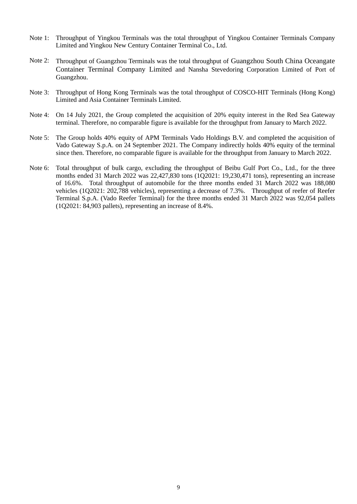- Note 1: Throughput of Yingkou Terminals was the total throughput of Yingkou Container Terminals Company Limited and Yingkou New Century Container Terminal Co., Ltd.
- Note 2: Throughput of Guangzhou Terminals was the total throughput of Guangzhou South China Oceangate Container Terminal Company Limited and Nansha Stevedoring Corporation Limited of Port of Guangzhou.
- Note 3: Throughput of Hong Kong Terminals was the total throughput of COSCO-HIT Terminals (Hong Kong) Limited and Asia Container Terminals Limited.
- Note 4: On 14 July 2021, the Group completed the acquisition of 20% equity interest in the Red Sea Gateway terminal. Therefore, no comparable figure is available for the throughput from January to March 2022.
- Note 5: The Group holds 40% equity of APM Terminals Vado Holdings B.V. and completed the acquisition of Vado Gateway S.p.A. on 24 September 2021. The Company indirectly holds 40% equity of the terminal since then. Therefore, no comparable figure is available for the throughput from January to March 2022.
- Note 6: Total throughput of bulk cargo, excluding the throughput of Beibu Gulf Port Co., Ltd., for the three months ended 31 March 2022 was 22,427,830 tons (1Q2021: 19,230,471 tons), representing an increase of 16.6%. Total throughput of automobile for the three months ended 31 March 2022 was 188,080 vehicles (1Q2021: 202,788 vehicles), representing a decrease of 7.3%. Throughput of reefer of Reefer Terminal S.p.A. (Vado Reefer Terminal) for the three months ended 31 March 2022 was 92,054 pallets (1Q2021: 84,903 pallets), representing an increase of 8.4%.